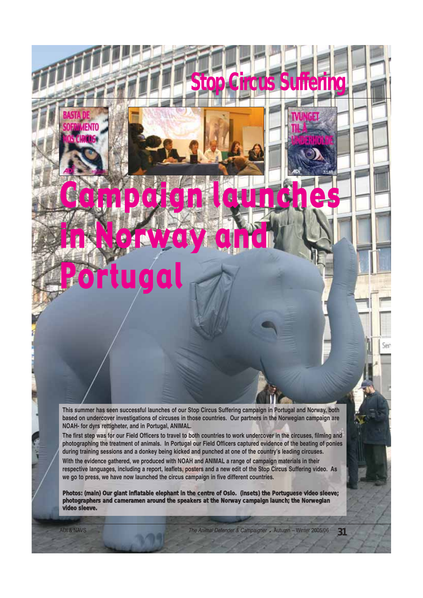**This summer has seen successful launches of our Stop Circus Suffering campaign in Portugal and Norway, both based on undercover investigations of circuses in those countries. Our partners in the Norwegian campaign are NOAH- for dyrs rettigheter, and in Portugal, ANIMAL.**

Campaign launches

in Norway and

Portugal

**The first step was for our Field Officers to travel to both countries to work undercover in the circuses, filming and photographing the treatment of animals. In Portugal our Field Officers captured evidence of the beating of ponies during training sessions and a donkey being kicked and punched at one of the country's leading circuses.**

**With the evidence gathered, we produced with NOAH and ANIMAL a range of campaign materials in their respective languages, including a report, leaflets, posters and a new edit of the Stop Circus Suffering video. As we go to press, we have now launched the circus campaign in five different countries.**

**Photos: (main) Our giant inflatable elephant in the centre of Oslo. (insets) the Portuguese video sleeve; photographers and cameramen around the speakers at the Norway campaign launch; the Norwegian video sleeve.**

ADI & NAVS **ADI & NAVS** The Animal Defender & Campaigner • Autumn – Winter 2005/06 **31** 

**Stop Circus Suffering**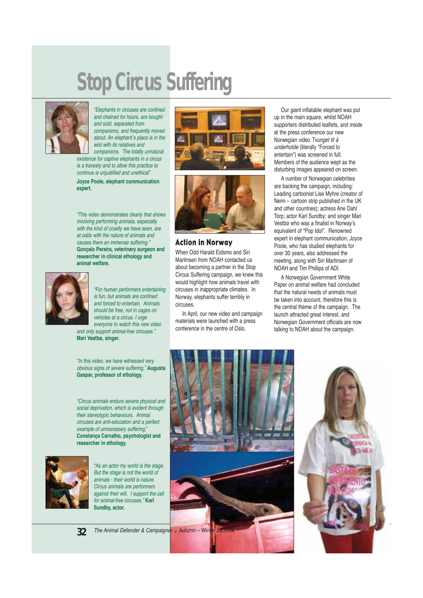## **Stop Circus Suffering**



"Elephants in circuses are confined and chained for hours, are bought and sold, separated from companions, and frequently moved about. An elephant´s place is in the wild with its relatives and companions. The totally unnatural

existence for captive elephants in a circus is a travesty and to allow this practice to continue is unjustified and unethical"

**Joyce Poole, elephant communication expert.**

"This video demonstrates clearly that shows involving performing animals, especially with the kind of cruelty we have seen, are at odds with the nature of animals and causes them an immense suffering." **Gonçalo Pereira, veterinary surgeon and researcher in clinical ethology and animal welfare.**



"For human performers entertaining is fun, but animals are confined and forced to entertain. Animals should be free, not in cages on vehicles at a circus. I urge everyone to watch this new video and only support animal-free circuses."

"In this video, we have witnessed very obvious signs of severe suffering," **Augusta Gaspar, professor of ethology.**

**Mari Vestbø, singer.**

"Circus animals endure severe physical and social deprivation, which is evident through their stereotypic behaviours. Animal circuses are anti-education and a perfect example of unnecessary suffering," **Constança Carvalho, psychologist and researcher in ethology.** 



"As an actor my world is the stage. But the stage is not the world of animals - their world is nature. Circus animals are performers against their will. I support the call for animal-free circuses," **Karl Sundby, actor.**





#### Action in Norway

When Odd Harald Eidsmo and Siri Martinsen from NOAH contacted us about becoming a partner in the Stop Circus Suffering campaign, we knew this would highlight how animals travel with circuses in inappropriate climates. In Norway, elephants suffer terribly in circuses.

In April, our new video and campaign materials were launched with a press conference in the centre of Oslo.

Our giant inflatable elephant was put up in the main square, whilst NOAH supporters distributed leaflets, and inside at the press conference our new Norwegian video Tvunget til å underholde (literally "Forced to entertain") was screened in full. Members of the audience wept as the disturbing images appeared on screen.

A number of Norwegian celebrities are backing the campaign, including: Leading cartoonist Lise Myhre (creator of Nemi – cartoon strip published in the UK and other countries); actress Ane Dahl Torp; actor Karl Sundby; and singer Mari Vestbø who was a finalist in Norway's equivalent of "Pop Idol". Renowned expert in elephant communication, Joyce Poole, who has studied elephants for over 30 years, also addressed the meeting, along with Siri Martinsen of NOAH and Tim Phillips of ADI.

A Norwegian Government White Paper on animal welfare had concluded that the natural needs of animals must be taken into account, therefore this is the central theme of the campaign. The launch attracted great interest, and Norwegian Government officials are now talking to NOAH about the campaign.





**32**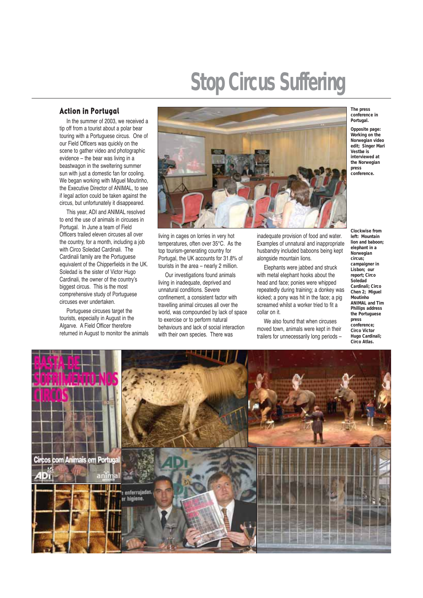# **Stop Circus Suffering**

### Action in Portugal

In the summer of 2003, we received a tip off from a tourist about a polar bear touring with a Portuguese circus. One of our Field Officers was quickly on the scene to gather video and photographic evidence – the bear was living in a beastwagon in the sweltering summer sun with just a domestic fan for cooling. We began working with Miguel Moutinho, the Executive Director of ANIMAL, to see if legal action could be taken against the circus, but unfortunately it disappeared.

This year, ADI and ANIMAL resolved to end the use of animals in circuses in Portugal. In June a team of Field Officers trailed eleven circuses all over the country, for a month, including a job with Circo Soledad Cardinali. The Cardinali family are the Portuguese equivalent of the Chipperfields in the UK. Soledad is the sister of Victor Hugo Cardinali, the owner of the country's biggest circus. This is the most comprehensive study of Portuguese circuses ever undertaken.

Portuguese circuses target the tourists, especially in August in the Algarve. A Field Officer therefore returned in August to monitor the animals



living in cages on lorries in very hot temperatures, often over 35°C. As the top tourism-generating country for Portugal, the UK accounts for 31.8% of tourists in the area – nearly 2 million.

Our investigations found animals living in inadequate, deprived and unnatural conditions. Severe confinement, a consistent factor with travelling animal circuses all over the world, was compounded by lack of space to exercise or to perform natural behaviours and lack of social interaction with their own species. There was

inadequate provision of food and water. Examples of unnatural and inappropriate husbandry included baboons being kept alongside mountain lions.

Elephants were jabbed and struck with metal elephant hooks about the head and face; ponies were whipped repeatedly during training; a donkey was kicked; a pony was hit in the face; a pig screamed whilst a worker tried to fit a collar on it.

We also found that when circuses moved town, animals were kept in their trailers for unnecessarily long periods –

**The press conference in Portugal.**

**Opposite page: Working on the Norwegian video edit; Singer Mari Vestbø is interviewed at the Norwegian press conference.**

**Clockwise from left: Mountain lion and baboon; elephant in a Norwegian circus; campaigner in Lisbon; our report; Circo Soledad Cardinali; Circo Chen 2; Miguel Moutinho ANIMAL and Tim Phillips address the Portuguese press conference; Circo Victor Hugo Cardinali; Circo Atlas.**